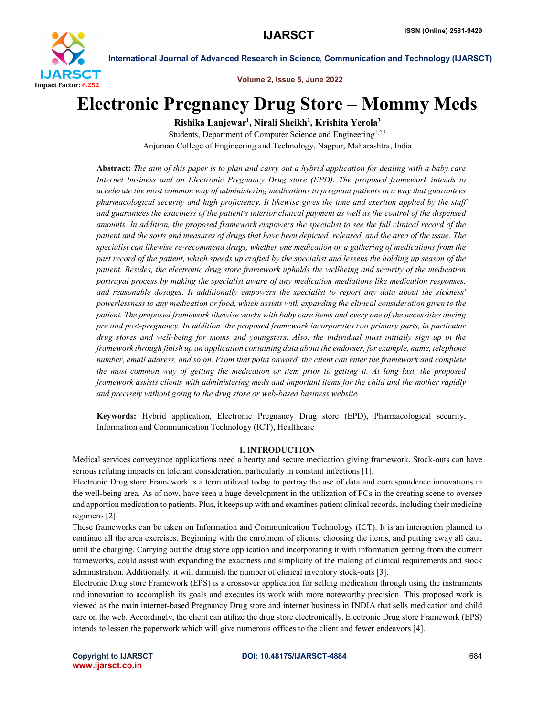

Volume 2, Issue 5, June 2022

# Electronic Pregnancy Drug Store – Mommy Meds

Rishika Lanjewar<sup>1</sup>, Nirali Sheikh<sup>2</sup>, Krishita Yerola<sup>3</sup>

Students, Department of Computer Science and Engineering<sup>1,2,3</sup> Anjuman College of Engineering and Technology, Nagpur, Maharashtra, India

Abstract: *The aim of this paper is to plan and carry out a hybrid application for dealing with a baby care Internet business and an Electronic Pregnancy Drug store (EPD). The proposed framework intends to accelerate the most common way of administering medications to pregnant patients in a way that guarantees pharmacological security and high proficiency. It likewise gives the time and exertion applied by the staff and guarantees the exactness of the patient's interior clinical payment as well as the control of the dispensed amounts. In addition, the proposed framework empowers the specialist to see the full clinical record of the patient and the sorts and measures of drugs that have been depicted, released, and the area of the issue. The specialist can likewise re-recommend drugs, whether one medication or a gathering of medications from the past record of the patient, which speeds up crafted by the specialist and lessens the holding up season of the patient. Besides, the electronic drug store framework upholds the wellbeing and security of the medication portrayal process by making the specialist aware of any medication mediations like medication responses, and reasonable dosages. It additionally empowers the specialist to report any data about the sickness' powerlessness to any medication or food, which assists with expanding the clinical consideration given to the patient. The proposed framework likewise works with baby care items and every one of the necessities during pre and post-pregnancy. In addition, the proposed framework incorporates two primary parts, in particular drug stores and well-being for moms and youngsters. Also, the individual must initially sign up in the framework through finish up an application containing data about the endorser, for example, name, telephone number, email address, and so on. From that point onward, the client can enter the framework and complete the most common way of getting the medication or item prior to getting it. At long last, the proposed framework assists clients with administering meds and important items for the child and the mother rapidly and precisely without going to the drug store or web-based business website.*

Keywords: Hybrid application, Electronic Pregnancy Drug store (EPD), Pharmacological security, Information and Communication Technology (ICT), Healthcare

### I. INTRODUCTION

Medical services conveyance applications need a hearty and secure medication giving framework. Stock-outs can have serious refuting impacts on tolerant consideration, particularly in constant infections [1].

Electronic Drug store Framework is a term utilized today to portray the use of data and correspondence innovations in the well-being area. As of now, have seen a huge development in the utilization of PCs in the creating scene to oversee and apportion medication to patients. Plus, it keeps up with and examines patient clinical records, including their medicine regimens [2].

These frameworks can be taken on Information and Communication Technology (ICT). It is an interaction planned to continue all the area exercises. Beginning with the enrolment of clients, choosing the items, and putting away all data, until the charging. Carrying out the drug store application and incorporating it with information getting from the current frameworks, could assist with expanding the exactness and simplicity of the making of clinical requirements and stock administration. Additionally, it will diminish the number of clinical inventory stock-outs [3].

Electronic Drug store Framework (EPS) is a crossover application for selling medication through using the instruments and innovation to accomplish its goals and executes its work with more noteworthy precision. This proposed work is viewed as the main internet-based Pregnancy Drug store and internet business in INDIA that sells medication and child care on the web. Accordingly, the client can utilize the drug store electronically. Electronic Drug store Framework (EPS) intends to lessen the paperwork which will give numerous offices to the client and fewer endeavors [4].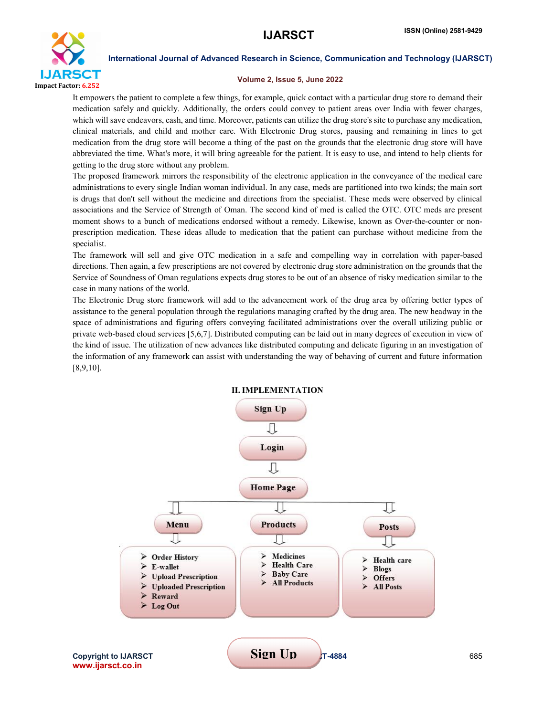

### Volume 2, Issue 5, June 2022

It empowers the patient to complete a few things, for example, quick contact with a particular drug store to demand their medication safely and quickly. Additionally, the orders could convey to patient areas over India with fewer charges, which will save endeavors, cash, and time. Moreover, patients can utilize the drug store's site to purchase any medication, clinical materials, and child and mother care. With Electronic Drug stores, pausing and remaining in lines to get medication from the drug store will become a thing of the past on the grounds that the electronic drug store will have abbreviated the time. What's more, it will bring agreeable for the patient. It is easy to use, and intend to help clients for getting to the drug store without any problem.

The proposed framework mirrors the responsibility of the electronic application in the conveyance of the medical care administrations to every single Indian woman individual. In any case, meds are partitioned into two kinds; the main sort is drugs that don't sell without the medicine and directions from the specialist. These meds were observed by clinical associations and the Service of Strength of Oman. The second kind of med is called the OTC. OTC meds are present moment shows to a bunch of medications endorsed without a remedy. Likewise, known as Over-the-counter or nonprescription medication. These ideas allude to medication that the patient can purchase without medicine from the specialist.

The framework will sell and give OTC medication in a safe and compelling way in correlation with paper-based directions. Then again, a few prescriptions are not covered by electronic drug store administration on the grounds that the Service of Soundness of Oman regulations expects drug stores to be out of an absence of risky medication similar to the case in many nations of the world.

The Electronic Drug store framework will add to the advancement work of the drug area by offering better types of assistance to the general population through the regulations managing crafted by the drug area. The new headway in the space of administrations and figuring offers conveying facilitated administrations over the overall utilizing public or private web-based cloud services [5,6,7]. Distributed computing can be laid out in many degrees of execution in view of the kind of issue. The utilization of new advances like distributed computing and delicate figuring in an investigation of the information of any framework can assist with understanding the way of behaving of current and future information [8,9,10].

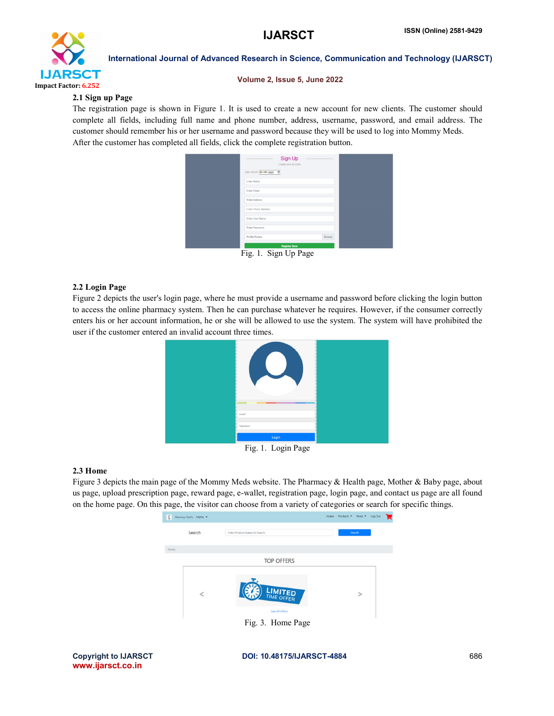

### Volume 2, Issue 5, June 2022

# 2.1 Sign up Page

The registration page is shown in Figure 1. It is used to create a new account for new clients. The customer should complete all fields, including full name and phone number, address, username, password, and email address. The customer should remember his or her username and password because they will be used to log into Mommy Meds. After the customer has completed all fields, click the complete registration button.



Fig. 1. Sign Up Page

# 2.2 Login Page

Figure 2 depicts the user's login page, where he must provide a username and password before clicking the login button to access the online pharmacy system. Then he can purchase whatever he requires. However, if the consumer correctly enters his or her account information, he or she will be allowed to use the system. The system will have prohibited the user if the customer entered an invalid account three times.



Fig. 1. Login Page

### 2.3 Home

Figure 3 depicts the main page of the Mommy Meds website. The Pharmacy & Health page, Mother & Baby page, about us page, upload prescription page, reward page, e-wallet, registration page, login page, and contact us page are all found on the home page. On this page, the visitor can choose from a variety of categories or search for specific things.



www.ijarsct.co.in

Copyright to IJARSCT DOI: 10.48175/IJARSCT-4884 686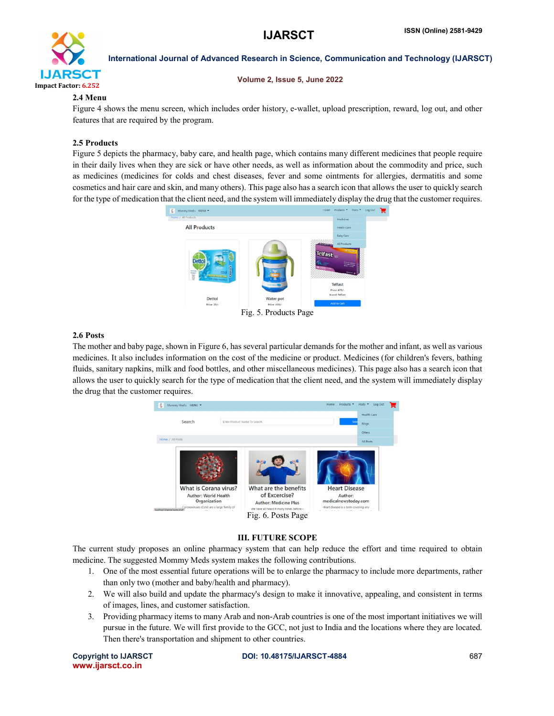

#### Volume 2, Issue 5, June 2022

# 2.4 Menu

Figure 4 shows the menu screen, which includes order history, e-wallet, upload prescription, reward, log out, and other features that are required by the program.

# 2.5 Products

Figure 5 depicts the pharmacy, baby care, and health page, which contains many different medicines that people require in their daily lives when they are sick or have other needs, as well as information about the commodity and price, such as medicines (medicines for colds and chest diseases, fever and some ointments for allergies, dermatitis and some cosmetics and hair care and skin, and many others). This page also has a search icon that allows the user to quickly search for the type of medication that the client need, and the system will immediately display the drug that the customer requires.



# 2.6 Posts

The mother and baby page, shown in Figure 6, has several particular demands for the mother and infant, as well as various medicines. It also includes information on the cost of the medicine or product. Medicines (for children's fevers, bathing fluids, sanitary napkins, milk and food bottles, and other miscellaneous medicines). This page also has a search icon that allows the user to quickly search for the type of medication that the client need, and the system will immediately display the drug that the customer requires.



# III. FUTURE SCOPE

The current study proposes an online pharmacy system that can help reduce the effort and time required to obtain medicine. The suggested Mommy Meds system makes the following contributions.

- 1. One of the most essential future operations will be to enlarge the pharmacy to include more departments, rather than only two (mother and baby/health and pharmacy).
- 2. We will also build and update the pharmacy's design to make it innovative, appealing, and consistent in terms of images, lines, and customer satisfaction.
- 3. Providing pharmacy items to many Arab and non-Arab countries is one of the most important initiatives we will pursue in the future. We will first provide to the GCC, not just to India and the locations where they are located. Then there's transportation and shipment to other countries.

www.ijarsct.co.in

Copyright to IJARSCT **DOI: 10.48175/IJARSCT-4884** 687